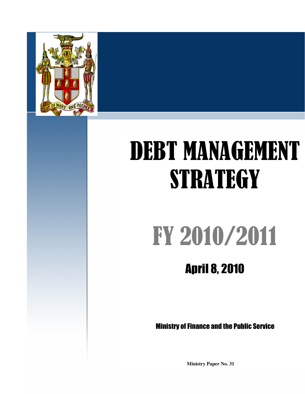

# **DEBT MANAGEMENT** STRATEGY

# FY 2010/2011

# **April 8, 2010**

**Ministry of Finance and the Public Service** 

**Ministry Paper No. 31**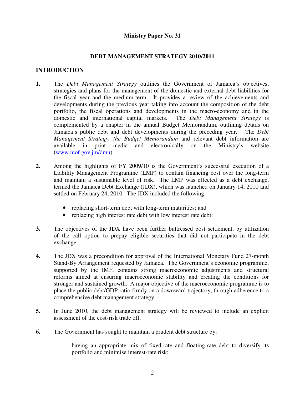# **Ministry Paper No. 31**

# **DEBT MANAGEMENT STRATEGY 2010/2011**

# **INTRODUCTION**

- **1.** The *Debt Management Strategy* outlines the Government of Jamaica's objectives, strategies and plans for the management of the domestic and external debt liabilities for the fiscal year and the medium-term. It provides a review of the achievements and developments during the previous year taking into account the composition of the debt portfolio, the fiscal operations and developments in the macro-economy and in the domestic and international capital markets. The *Debt Management Strategy* is complemented by a chapter in the annual Budget Memorandum, outlining details on Jamaica's public debt and debt developments during the preceding year. The *Debt Management Strategy, the Budget Memorandum* and relevant debt information are available in print media and electronically on the Ministry's website (www.mof.gov.jm/dmu).
- **2.** Among the highlights of FY 2009/10 is the Government's successful execution of a Liability Management Programme (LMP) to contain financing cost over the long-term and maintain a sustainable level of risk. The LMP was effected as a debt exchange, termed the Jamaica Debt Exchange (JDX), which was launched on January 14, 2010 and settled on February 24, 2010. The JDX included the following:
	- replacing short-term debt with long-term maturities; and
	- replacing high interest rate debt with low interest rate debt:
- **3.** The objectives of the JDX have been further buttressed post settlement, by utilization of the call option to prepay eligible securities that did not participate in the debt exchange.
- **4.** The JDX was a precondition for approval of the International Monetary Fund 27-month Stand-By Arrangement requested by Jamaica. The Government's economic programme, supported by the IMF, contains strong macroeconomic adjustments and structural reforms aimed at ensuring macroeconomic stability and creating the conditions for stronger and sustained growth. A major objective of the macroeconomic programme is to place the public debt/GDP ratio firmly on a downward trajectory, through adherence to a comprehensive debt management strategy.
- **5.** In June 2010, the debt management strategy will be reviewed to include an explicit assessment of the cost-risk trade off.
- **6.** The Government has sought to maintain a prudent debt structure by:
	- having an appropriate mix of fixed-rate and floating-rate debt to diversify its portfolio and minimise interest-rate risk;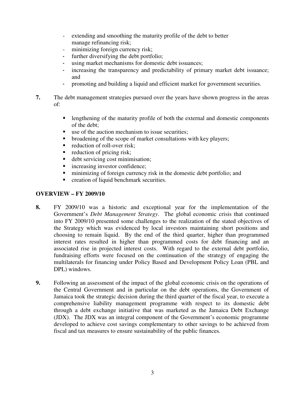- extending and smoothing the maturity profile of the debt to better manage refinancing risk;
- minimizing foreign currency risk;
- further diversifying the debt portfolio;
- using market mechanisms for domestic debt issuances;
- increasing the transparency and predictability of primary market debt issuance; and
- promoting and building a liquid and efficient market for government securities.
- **7.** The debt management strategies pursued over the years have shown progress in the areas of:
	- **I.** lengthening of the maturity profile of both the external and domestic components of the debt;
	- use of the auction mechanism to issue securities;
	- broadening of the scope of market consultations with key players;
	- $\blacksquare$  reduction of roll-over risk;
	- $\blacksquare$  reduction of pricing risk;
	- debt servicing cost minimisation;
	- **i** increasing investor confidence;
	- minimizing of foreign currency risk in the domestic debt portfolio; and
	- **•** creation of liquid benchmark securities.

# **OVERVIEW – FY 2009/10**

- **8.** FY 2009/10 was a historic and exceptional year for the implementation of the Government's *Debt Management Strategy*. The global economic crisis that continued into FY 2009/10 presented some challenges to the realization of the stated objectives of the Strategy which was evidenced by local investors maintaining short positions and choosing to remain liquid. By the end of the third quarter, higher than programmed interest rates resulted in higher than programmed costs for debt financing and an associated rise in projected interest costs. With regard to the external debt portfolio, fundraising efforts were focused on the continuation of the strategy of engaging the multilaterals for financing under Policy Based and Development Policy Loan (PBL and DPL) windows.
- **9.** Following an assessment of the impact of the global economic crisis on the operations of the Central Government and in particular on the debt operations, the Government of Jamaica took the strategic decision during the third quarter of the fiscal year, to execute a comprehensive liability management programme with respect to its domestic debt through a debt exchange initiative that was marketed as the Jamaica Debt Exchange (JDX). The JDX was an integral component of the Government's economic programme developed to achieve cost savings complementary to other savings to be achieved from fiscal and tax measures to ensure sustainability of the public finances.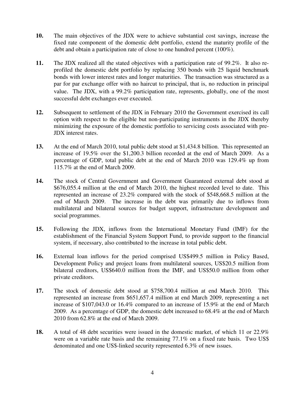- **10.** The main objectives of the JDX were to achieve substantial cost savings, increase the fixed rate component of the domestic debt portfolio, extend the maturity profile of the debt and obtain a participation rate of close to one hundred percent (100%).
- **11.** The JDX realized all the stated objectives with a participation rate of 99.2%. It also reprofiled the domestic debt portfolio by replacing 350 bonds with 25 liquid benchmark bonds with lower interest rates and longer maturities. The transaction was structured as a par for par exchange offer with no haircut to principal, that is, no reduction in principal value. The JDX, with a 99.2% participation rate, represents, globally, one of the most successful debt exchanges ever executed.
- **12.** Subsequent to settlement of the JDX in February 2010 the Government exercised its call option with respect to the eligible but non-participating instruments in the JDX thereby minimizing the exposure of the domestic portfolio to servicing costs associated with pre-JDX interest rates.
- **13.** At the end of March 2010, total public debt stood at \$1,434.8 billion. This represented an increase of 19.5% over the \$1,200.3 billion recorded at the end of March 2009. As a percentage of GDP, total public debt at the end of March 2010 was 129.4% up from 115.7% at the end of March 2009.
- **14.** The stock of Central Government and Government Guaranteed external debt stood at \$676,055.4 million at the end of March 2010, the highest recorded level to date. This represented an increase of 23.2% compared with the stock of \$548,668.5 million at the end of March 2009. The increase in the debt was primarily due to inflows from multilateral and bilateral sources for budget support, infrastructure development and social programmes.
- **15.** Following the JDX, inflows from the International Monetary Fund (IMF) for the establishment of the Financial System Support Fund, to provide support to the financial system, if necessary, also contributed to the increase in total public debt.
- **16.** External loan inflows for the period comprised US\$499.5 million in Policy Based, Development Policy and project loans from multilateral sources, US\$20.5 million from bilateral creditors, US\$640.0 million from the IMF, and US\$50.0 million from other private creditors.
- **17.** The stock of domestic debt stood at \$758,700.4 million at end March 2010. This represented an increase from \$651,657.4 million at end March 2009, representing a net increase of \$107,043.0 or 16.4% compared to an increase of 15.9% at the end of March 2009. As a percentage of GDP, the domestic debt increased to 68.4% at the end of March 2010 from 62.8% at the end of March 2009.
- **18.** A total of 48 debt securities were issued in the domestic market, of which 11 or 22.9% were on a variable rate basis and the remaining 77.1% on a fixed rate basis. Two US\$ denominated and one US\$-linked security represented 6.3% of new issues.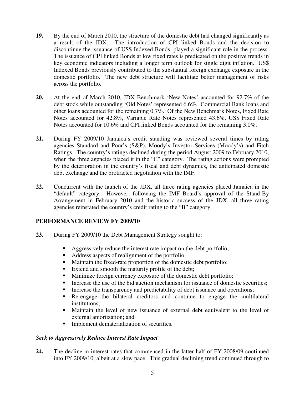- **19.** By the end of March 2010, the structure of the domestic debt had changed significantly as a result of the JDX. The introduction of CPI linked Bonds and the decision to discontinue the issuance of US\$ Indexed Bonds, played a significant role in the process. The issuance of CPI linked Bonds at low fixed rates is predicated on the positive trends in key economic indicators including a longer term outlook for single digit inflation. US\$ Indexed Bonds previously contributed to the substantial foreign exchange exposure in the domestic portfolio. The new debt structure will facilitate better management of risks across the portfolio.
- **20.** At the end of March 2010, JDX Benchmark 'New Notes' accounted for 92.7% of the debt stock while outstanding 'Old Notes' represented 6.6%. Commercial Bank loans and other loans accounted for the remaining 0.7%. Of the New Benchmark Notes, Fixed Rate Notes accounted for 42.8%, Variable Rate Notes represented 43.6%, US\$ Fixed Rate Notes accounted for 10.6% and CPI linked Bonds accounted for the remaining 3.0%.
- **21.** During FY 2009/10 Jamaica's credit standing was reviewed several times by rating agencies Standard and Poor's (S&P), Moody's Investor Services (Moody's) and Fitch Ratings. The country's ratings declined during the period August 2009 to February 2010, when the three agencies placed it in the "C" category. The rating actions were prompted by the deterioration in the country's fiscal and debt dynamics, the anticipated domestic debt exchange and the protracted negotiation with the IMF.
- **22.** Concurrent with the launch of the JDX, all three rating agencies placed Jamaica in the "default" category. However, following the IMF Board's approval of the Stand-By Arrangement in February 2010 and the historic success of the JDX, all three rating agencies reinstated the country's credit rating to the "B" category.

# **PERFORMANCE REVIEW FY 2009/10**

- **23.** During FY 2009/10 the Debt Management Strategy sought to:
	- Aggressively reduce the interest rate impact on the debt portfolio;
	- Address aspects of realignment of the portfolio;
	- Maintain the fixed-rate proportion of the domestic debt portfolio;
	- Extend and smooth the maturity profile of the debt;
	- Minimize foreign currency exposure of the domestic debt portfolio;
	- Increase the use of the bid auction mechanism for issuance of domestic securities;
	- Increase the transparency and predictability of debt issuance and operations;
	- Re-engage the bilateral creditors and continue to engage the multilateral institutions;
	- Maintain the level of new issuance of external debt equivalent to the level of external amortization; and
	- **Implement dematerialization of securities.**

## *Seek to Aggressively Reduce Interest Rate Impact*

**24.** The decline in interest rates that commenced in the latter half of FY 2008/09 continued into FY 2009/10, albeit at a slow pace. This gradual declining trend continued through to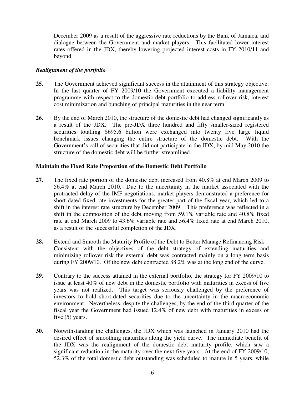December 2009 as a result of the aggressive rate reductions by the Bank of Jamaica, and dialogue between the Government and market players. This facilitated lower interest rates offered in the JDX, thereby lowering projected interest costs in FY 2010/11 and beyond.

# *Realignment of the portfolio*

- **25.** The Government achieved significant success in the attainment of this strategy objective. In the last quarter of FY 2009/10 the Government executed a liability management programme with respect to the domestic debt portfolio to address rollover risk, interest cost minimization and bunching of principal maturities in the near term.
- **26.** By the end of March 2010, the structure of the domestic debt had changed significantly as a result of the JDX. The pre-JDX three hundred and fifty smaller-sized registered securities totalling \$695.6 billion were exchanged into twenty five large liquid benchmark issues changing the entire structure of the domestic debt. With the Government's call of securities that did not participate in the JDX, by mid May 2010 the structure of the domestic debt will be further streamlined.

# **Maintain the Fixed Rate Proportion of the Domestic Debt Portfolio**

- **27.** The fixed rate portion of the domestic debt increased from 40.8% at end March 2009 to 56.4% at end March 2010. Due to the uncertainty in the market associated with the protracted delay of the IMF negotiations, market players demonstrated a preference for short dated fixed rate investments for the greater part of the fiscal year, which led to a shift in the interest rate structure by December 2009. This preference was reflected in a shift in the composition of the debt moving from 59.1% variable rate and 40.8% fixed rate at end March 2009 to 43.6% variable rate and 56.4% fixed rate at end March 2010, as a result of the successful completion of the JDX.
- **28.** Extend and Smooth the Maturity Profile of the Debt to Better Manage Refinancing Risk Consistent with the objectives of the debt strategy of extending maturities and minimizing rollover risk the external debt was contracted mainly on a long term basis during FY 2009/10. Of the new debt contracted 88.2% was at the long end of the curve.
- **29.** Contrary to the success attained in the external portfolio, the strategy for FY 2009/10 to issue at least 40% of new debt in the domestic portfolio with maturities in excess of five years was not realized. This target was seriously challenged by the preference of investors to hold short-dated securities due to the uncertainty in the macroeconomic environment. Nevertheless, despite the challenges, by the end of the third quarter of the fiscal year the Government had issued 12.4% of new debt with maturities in excess of five (5) years.
- **30.** Notwithstanding the challenges, the JDX which was launched in January 2010 had the desired effect of smoothing maturities along the yield curve. The immediate benefit of the JDX was the realignment of the domestic debt maturity profile, which saw a significant reduction in the maturity over the next five years. At the end of FY 2009/10, 52.3% of the total domestic debt outstanding was scheduled to mature in 5 years, while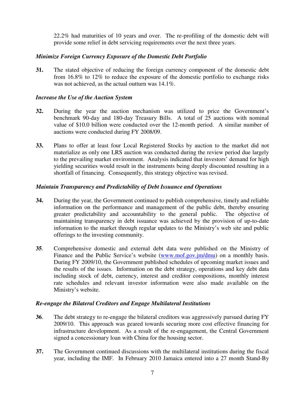22.2% had maturities of 10 years and over. The re-profiling of the domestic debt will provide some relief in debt servicing requirements over the next three years.

# *Minimize Foreign Currency Exposure of the Domestic Debt Portfolio*

**31.** The stated objective of reducing the foreign currency component of the domestic debt from 16.8% to 12% to reduce the exposure of the domestic portfolio to exchange risks was not achieved, as the actual outturn was 14.1%.

## *Increase the Use of the Auction System*

- **32.** During the year the auction mechanism was utilized to price the Government's benchmark 90-day and 180-day Treasury Bills. A total of 25 auctions with nominal value of \$10.0 billion were conducted over the 12-month period. A similar number of auctions were conducted during FY 2008/09.
- **33.** Plans to offer at least four Local Registered Stocks by auction to the market did not materialize as only one LRS auction was conducted during the review period due largely to the prevailing market environment. Analysis indicated that investors' demand for high yielding securities would result in the instruments being deeply discounted resulting in a shortfall of financing. Consequently, this strategy objective was revised.

## *Maintain Transparency and Predictability of Debt Issuance and Operations*

- **34.** During the year, the Government continued to publish comprehensive, timely and reliable information on the performance and management of the public debt, thereby ensuring greater predictability and accountability to the general public. The objective of maintaining transparency in debt issuance was achieved by the provision of up-to-date information to the market through regular updates to the Ministry's web site and public offerings to the investing community.
- **35**. Comprehensive domestic and external debt data were published on the Ministry of Finance and the Public Service's website (www.mof.gov.jm/dmu) on a monthly basis. During FY 2009/10, the Government published schedules of upcoming market issues and the results of the issues. Information on the debt strategy, operations and key debt data including stock of debt, currency, interest and creditor compositions, monthly interest rate schedules and relevant investor information were also made available on the Ministry's website.

## *Re-engage the Bilateral Creditors and Engage Multilateral Institutions*

- **36**. The debt strategy to re-engage the bilateral creditors was aggressively pursued during FY 2009/10. This approach was geared towards securing more cost effective financing for infrastructure development. As a result of the re-engagement, the Central Government signed a concessionary loan with China for the housing sector.
- **37.** The Government continued discussions with the multilateral institutions during the fiscal year, including the IMF. In February 2010 Jamaica entered into a 27 month Stand-By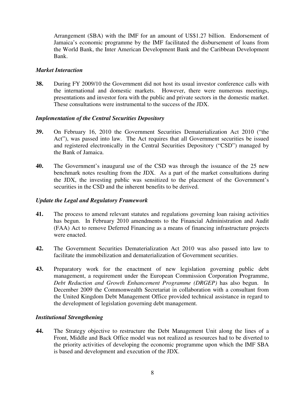Arrangement (SBA) with the IMF for an amount of US\$1.27 billion. Endorsement of Jamaica's economic programme by the IMF facilitated the disbursement of loans from the World Bank, the Inter American Development Bank and the Caribbean Development Bank.

# *Market Interaction*

**38.** During FY 2009/10 the Government did not host its usual investor conference calls with the international and domestic markets. However, there were numerous meetings, presentations and investor fora with the public and private sectors in the domestic market. These consultations were instrumental to the success of the JDX.

# *Implementation of the Central Securities Depository*

- **39.** On February 16, 2010 the Government Securities Dematerialization Act 2010 ("the Act"), was passed into law. The Act requires that all Government securities be issued and registered electronically in the Central Securities Depository ("CSD") managed by the Bank of Jamaica.
- **40.** The Government's inaugural use of the CSD was through the issuance of the 25 new benchmark notes resulting from the JDX. As a part of the market consultations during the JDX, the investing public was sensitized to the placement of the Government's securities in the CSD and the inherent benefits to be derived.

## *Update the Legal and Regulatory Framework*

- **41.** The process to amend relevant statutes and regulations governing loan raising activities has begun. In February 2010 amendments to the Financial Administration and Audit (FAA) Act to remove Deferred Financing as a means of financing infrastructure projects were enacted.
- **42.** The Government Securities Dematerialization Act 2010 was also passed into law to facilitate the immobilization and dematerialization of Government securities.
- **43.** Preparatory work for the enactment of new legislation governing public debt management, a requirement under the European Commission Corporation Programme, *Debt Reduction and Growth Enhancement Programme (DRGEP)* has also begun. In December 2009 the Commonwealth Secretariat in collaboration with a consultant from the United Kingdom Debt Management Office provided technical assistance in regard to the development of legislation governing debt management.

# *Institutional Strengthening*

**44.** The Strategy objective to restructure the Debt Management Unit along the lines of a Front, Middle and Back Office model was not realized as resources had to be diverted to the priority activities of developing the economic programme upon which the IMF SBA is based and development and execution of the JDX.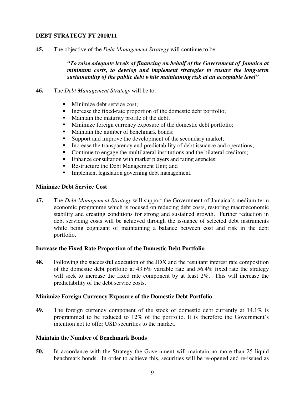# **DEBT STRATEGY FY 2010/11**

**45.** The objective of the *Debt Management Strategy* will continue to be:

*"To raise adequate levels of financing on behalf of the Government of Jamaica at minimum costs, to develop and implement strategies to ensure the long-term sustainability of the public debt while maintaining risk at an acceptable level".*

**46.** The *Debt Management Strategy* will be to:

- **Minimize debt service cost;**
- **Increase the fixed-rate proportion of the domestic debt portfolio;**
- Maintain the maturity profile of the debt;
- **Minimize foreign currency exposure of the domestic debt portfolio;**
- Maintain the number of benchmark bonds;
- Support and improve the development of the secondary market;
- Increase the transparency and predictability of debt issuance and operations;
- Continue to engage the multilateral institutions and the bilateral creditors;
- Enhance consultation with market players and rating agencies;
- Restructure the Debt Management Unit; and
- **Implement legislation governing debt management.**

#### **Minimize Debt Service Cost**

**47.** The *Debt Management Strategy* will support the Government of Jamaica's medium-term economic programme which is focused on reducing debt costs, restoring macroeconomic stability and creating conditions for strong and sustained growth. Further reduction in debt servicing costs will be achieved through the issuance of selected debt instruments while being cognizant of maintaining a balance between cost and risk in the debt portfolio.

#### **Increase the Fixed Rate Proportion of the Domestic Debt Portfolio**

**48.** Following the successful execution of the JDX and the resultant interest rate composition of the domestic debt portfolio at 43.6% variable rate and 56.4% fixed rate the strategy will seek to increase the fixed rate component by at least 2%. This will increase the predictability of the debt service costs.

#### **Minimize Foreign Currency Exposure of the Domestic Debt Portfolio**

**49.** The foreign currency component of the stock of domestic debt currently at 14.1% is programmed to be reduced to 12% of the portfolio. It is therefore the Government's intention not to offer USD securities to the market.

## **Maintain the Number of Benchmark Bonds**

**50.** In accordance with the Strategy the Government will maintain no more than 25 liquid benchmark bonds. In order to achieve this, securities will be re-opened and re-issued as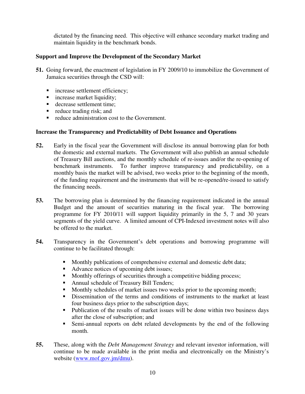dictated by the financing need. This objective will enhance secondary market trading and maintain liquidity in the benchmark bonds.

# **Support and Improve the Development of the Secondary Market**

- **51.** Going forward, the enactment of legislation in FY 2009/10 to immobilize the Government of Jamaica securities through the CSD will:
	- **imcrease settlement efficiency;**
	- **n** increase market liquidity;
	- decrease settlement time;
	- reduce trading risk; and
	- reduce administration cost to the Government.

## **Increase the Transparency and Predictability of Debt Issuance and Operations**

- **52.** Early in the fiscal year the Government will disclose its annual borrowing plan for both the domestic and external markets. The Government will also publish an annual schedule of Treasury Bill auctions, and the monthly schedule of re-issues and/or the re-opening of benchmark instruments. To further improve transparency and predictability, on a monthly basis the market will be advised, two weeks prior to the beginning of the month, of the funding requirement and the instruments that will be re-opened/re-issued to satisfy the financing needs.
- **53.** The borrowing plan is determined by the financing requirement indicated in the annual Budget and the amount of securities maturing in the fiscal year. The borrowing programme for FY 2010/11 will support liquidity primarily in the 5, 7 and 30 years segments of the yield curve. A limited amount of CPI-Indexed investment notes will also be offered to the market.
- **54.** Transparency in the Government's debt operations and borrowing programme will continue to be facilitated through:
	- **Monthly publications of comprehensive external and domestic debt data;**
	- Advance notices of upcoming debt issues;
	- Monthly offerings of securities through a competitive bidding process;
	- Annual schedule of Treasury Bill Tenders;
	- Monthly schedules of market issues two weeks prior to the upcoming month;
	- Dissemination of the terms and conditions of instruments to the market at least four business days prior to the subscription days;
	- Publication of the results of market issues will be done within two business days after the close of subscription; and
	- Semi-annual reports on debt related developments by the end of the following month.
- **55.** These, along with the *Debt Management Strategy* and relevant investor information, will continue to be made available in the print media and electronically on the Ministry's website (www.mof.gov.jm/dmu).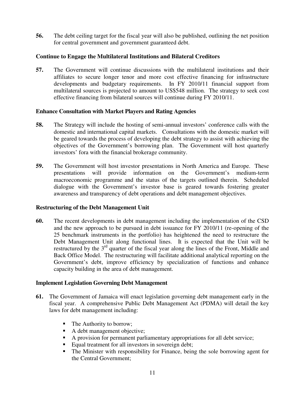**56.** The debt ceiling target for the fiscal year will also be published, outlining the net position for central government and government guaranteed debt.

# **Continue to Engage the Multilateral Institutions and Bilateral Creditors**

**57.** The Government will continue discussions with the multilateral institutions and their affiliates to secure longer tenor and more cost effective financing for infrastructure developments and budgetary requirements. In FY 2010/11 financial support from multilateral sources is projected to amount to US\$548 million. The strategy to seek cost effective financing from bilateral sources will continue during FY 2010/11.

## **Enhance Consultation with Market Players and Rating Agencies**

- **58.** The Strategy will include the hosting of semi-annual investors' conference calls with the domestic and international capital markets. Consultations with the domestic market will be geared towards the process of developing the debt strategy to assist with achieving the objectives of the Government's borrowing plan. The Government will host quarterly investors' fora with the financial brokerage community.
- **59.** The Government will host investor presentations in North America and Europe. These presentations will provide information on the Government's medium-term macroeconomic programme and the status of the targets outlined therein. Scheduled dialogue with the Government's investor base is geared towards fostering greater awareness and transparency of debt operations and debt management objectives.

## **Restructuring of the Debt Management Unit**

**60.** The recent developments in debt management including the implementation of the CSD and the new approach to be pursued in debt issuance for FY 2010/11 (re-opening of the 25 benchmark instruments in the portfolio) has heightened the need to restructure the Debt Management Unit along functional lines. It is expected that the Unit will be restructured by the  $3<sup>rd</sup>$  quarter of the fiscal year along the lines of the Front, Middle and Back Office Model. The restructuring will facilitate additional analytical reporting on the Government's debt, improve efficiency by specialization of functions and enhance capacity building in the area of debt management.

## **Implement Legislation Governing Debt Management**

- **61.** The Government of Jamaica will enact legislation governing debt management early in the fiscal year. A comprehensive Public Debt Management Act (PDMA) will detail the key laws for debt management including:
	- The Authority to borrow;
	- A debt management objective;
	- A provision for permanent parliamentary appropriations for all debt service;
	- Equal treatment for all investors in sovereign debt;
	- The Minister with responsibility for Finance, being the sole borrowing agent for the Central Government;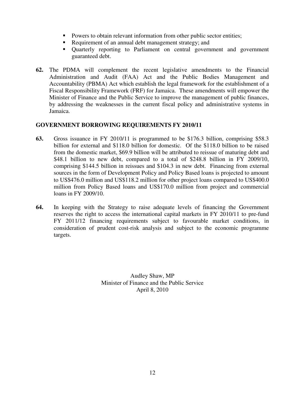- Powers to obtain relevant information from other public sector entities;
- Requirement of an annual debt management strategy; and
- Quarterly reporting to Parliament on central government and government guaranteed debt.
- **62.** The PDMA will complement the recent legislative amendments to the Financial Administration and Audit (FAA) Act and the Public Bodies Management and Accountability (PBMA) Act which establish the legal framework for the establishment of a Fiscal Responsibility Framework (FRF) for Jamaica. These amendments will empower the Minister of Finance and the Public Service to improve the management of public finances, by addressing the weaknesses in the current fiscal policy and administrative systems in Jamaica.

# **GOVERNMENT BORROWING REQUIREMENTS FY 2010/11**

- **63.** Gross issuance in FY 2010/11 is programmed to be \$176.3 billion, comprising \$58.3 billion for external and \$118.0 billion for domestic. Of the \$118.0 billion to be raised from the domestic market, \$69.9 billion will be attributed to reissue of maturing debt and \$48.1 billion to new debt, compared to a total of \$248.8 billion in FY 2009/10, comprising \$144.5 billion in reissues and \$104.3 in new debt. Financing from external sources in the form of Development Policy and Policy Based loans is projected to amount to US\$476.0 million and US\$118.2 million for other project loans compared to US\$400.0 million from Policy Based loans and US\$170.0 million from project and commercial loans in FY 2009/10.
- **64.** In keeping with the Strategy to raise adequate levels of financing the Government reserves the right to access the international capital markets in FY 2010/11 to pre-fund FY 2011/12 financing requirements subject to favourable market conditions, in consideration of prudent cost-risk analysis and subject to the economic programme targets.

Audley Shaw, MP Minister of Finance and the Public Service April 8, 2010